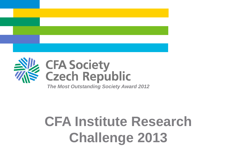

# **CFA Society<br>Czech Republic**

*The Most Outstanding Society Award 2012*

### **CFA Institute Research Challenge 2013**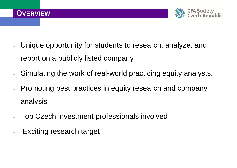

- Unique opportunity for students to research, analyze, and report on a publicly listed company
- Simulating the work of real-world practicing equity analysts.
- Promoting best practices in equity research and company analysis
- Top Czech investment professionals involved
- Exciting research target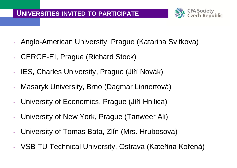

- Anglo-American University, Prague (Katarina Svitkova)
- CERGE-EI, Prague (Richard Stock)
- IES, Charles University, Prague (Jiří Novák)
- Masaryk University, Brno (Dagmar Linnertová)
- University of Economics, Prague (Jiří Hnilica)
- University of New York, Prague (Tanweer Ali)
- University of Tomas Bata, Zlín (Mrs. Hrubosova)
- VSB-TU Technical University, Ostrava (Kateřina Kořená)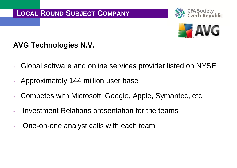



#### **AVG Technologies N.V.**

- Global software and online services provider listed on NYSE
- Approximately 144 million user base
- Competes with Microsoft, Google, Apple, Symantec, etc.
- Investment Relations presentation for the teams
- One-on-one analyst calls with each team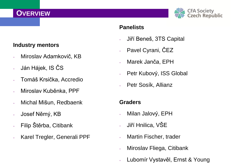#### **OVERVIEW**



#### **Panelists**

- Jiří Beneš, 3TS Capital
- Pavel Cyrani, ČEZ
- Marek Janča, EPH
- Petr Kubový, ISS Global
- Petr Sosík, Allianz

#### **Graders**

- Milan Jalový, EPH
- Jiří Hnilica, VŠE
- Martin Fischer, trader
- Miroslav Fliega, Citibank
- Lubomír Vystavěl, Ernst & Young

#### **Industry mentors**

- Miroslav Adamkovič, KB
- Ján Hájek, IS ČS
- Tomáš Krsička, Accredio
- Miroslav Kuběnka, PPF
- Michal Mišun, Redbaenk
- Josef Němý, KB
- Filip Štěrba, Citibank
- Karel Tregler, Generali PPF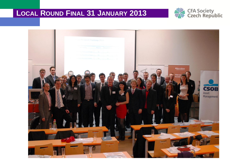#### LOCAL ROUND FINAL 31 JANUARY 2013



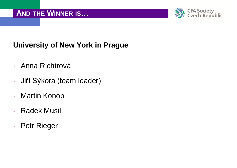

### **University of New York in Prague**

- Anna Richtrová
- Jiří Sýkora (team leader)
- Martin Konop
- Radek Musil
- Petr Rieger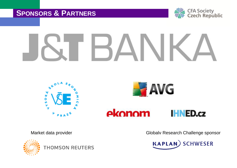#### **SPONSORS & PARTNERS**







ekonom **IHNED.cz** 



**THOMSON REUTERS** 

Market data provider **Globalv Research Challenge sponsor** Globalv Research Challenge sponsor

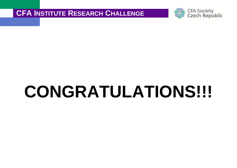

## **CONGRATULATIONS!!!!**